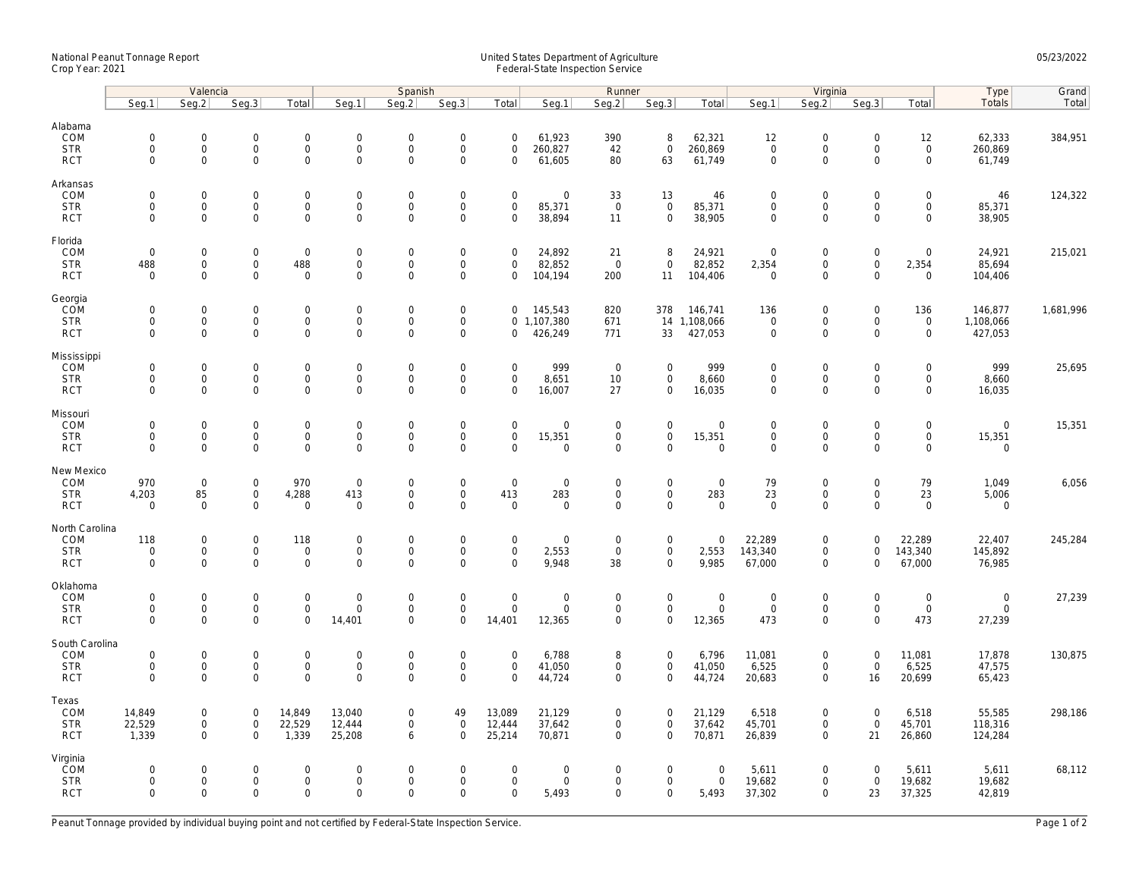## National Peanut Tonnage Report United States Department of Agriculture 05/23/2022 Crop Year: 2021 Federal-State Inspection Service

|                                                   | Valencia                                                   |                                                   |                                                           |                                                    |                                                     | Spanish                                                |                                                           |                                                   | Runner                               |                                            |                                                            |                                              | Virginia                                  |                                                           |                                           |                                                    | Type                                   | Grand     |
|---------------------------------------------------|------------------------------------------------------------|---------------------------------------------------|-----------------------------------------------------------|----------------------------------------------------|-----------------------------------------------------|--------------------------------------------------------|-----------------------------------------------------------|---------------------------------------------------|--------------------------------------|--------------------------------------------|------------------------------------------------------------|----------------------------------------------|-------------------------------------------|-----------------------------------------------------------|-------------------------------------------|----------------------------------------------------|----------------------------------------|-----------|
|                                                   | Seg.1                                                      | Seq.2                                             | Seq.3                                                     | Total                                              | Seg.1                                               | Seq.2                                                  | Seg.3                                                     | Total                                             | Seg.1                                | Seg.2                                      | Seq.3                                                      | Total                                        | Seg.1                                     | Seg.2                                                     | Seq.3                                     | Total                                              | Totals                                 | Total     |
| Alabama<br>COM<br><b>STR</b><br><b>RCT</b>        | $\mathsf{O}\xspace$<br>0<br>$\mathbf 0$                    | 0<br>$\mathsf{O}\xspace$<br>$\mathbf 0$           | $\mathbf 0$<br>$\mathsf{O}\xspace$<br>$\mathsf{O}\xspace$ | $\mathsf{O}$<br>$\mathsf{O}\xspace$<br>$\mathbf 0$ | $\mathbf 0$<br>$\mathbf 0$<br>$\mathbf 0$           | $\mathbf 0$<br>$\mathbf 0$<br>$\mathbf 0$              | $\mathbf 0$<br>$\mathsf{O}\xspace$<br>$\mathbf 0$         | $\mathsf{O}\xspace$<br>$\mathbf 0$<br>$\mathbf 0$ | 61,923<br>260,827<br>61,605          | 390<br>42<br>80                            | 8<br>$\mathsf{O}\xspace$<br>63                             | 62,321<br>260,869<br>61,749                  | 12<br>$\mathbf 0$<br>$\mathbf 0$          | $\mathsf{O}\xspace$<br>$\mathsf{O}\xspace$<br>$\mathbf 0$ | $\mathbf 0$<br>$\mathbf 0$<br>$\mathbf 0$ | 12<br>$\mathsf{O}\xspace$<br>$\mathsf{O}$          | 62,333<br>260,869<br>61,749            | 384,951   |
| Arkansas<br>COM<br><b>STR</b><br><b>RCT</b>       | $\mathbf 0$<br>$\mathbf 0$<br>$\mathbf{0}$                 | 0<br>$\mathbf 0$<br>0                             | $\mathbf 0$<br>$\mathbf 0$<br>$\mathsf{O}\xspace$         | $\mathsf 0$<br>$\mathbf{0}$<br>$\mathbf 0$         | $\mathbf 0$<br>$\mathbf{0}$<br>$\mathsf{O}\xspace$  | $\mathbf 0$<br>$\mathbf 0$<br>$\mathbf 0$              | $\mathbf 0$<br>$\mathsf{O}\xspace$<br>$\mathsf 0$         | $\mathbf 0$<br>$\mathbf 0$<br>$\mathbf 0$         | 0<br>85,371<br>38,894                | 33<br>$\overline{0}$<br>11                 | 13<br>$\mathbf 0$<br>$\mathsf 0$                           | 46<br>85,371<br>38,905                       | $\mathbf 0$<br>$\mathbf 0$<br>$\mathbf 0$ | $\mathbf 0$<br>$\mathbf 0$<br>$\mathbf 0$                 | $\mathbf 0$<br>$\mathbf 0$<br>$\mathbf 0$ | $\mathsf{O}\xspace$<br>$\mathbf{0}$<br>$\mathbf 0$ | 46<br>85,371<br>38,905                 | 124,322   |
| Florida<br>COM<br><b>STR</b><br><b>RCT</b>        | $\mathsf{O}\xspace$<br>488<br>$\Omega$                     | 0<br>0<br>$\Omega$                                | $\mathbf 0$<br>$\mathsf 0$<br>$\mathbf 0$                 | $\mathsf 0$<br>488<br>$\mathbf 0$                  | $\mathbf 0$<br>$\boldsymbol{0}$<br>$\mathbf 0$      | $\mathsf{O}\xspace$<br>$\mathbf 0$<br>$\Omega$         | $\mathsf 0$<br>$\mathsf 0$<br>0                           | $\mathbf 0$<br>$\mathbf 0$<br>$\Omega$            | 24,892<br>82,852<br>104,194          | 21<br>$\overline{0}$<br>200                | 8<br>$\mathbf 0$<br>11                                     | 24,921<br>82,852<br>104,406                  | $\mathbf 0$<br>2,354<br>$\Omega$          | $\mathsf{O}\xspace$<br>$\mathsf{O}\xspace$<br>$\Omega$    | $\mathbf 0$<br>$\mathbf 0$<br>$\Omega$    | $\mathsf{O}\xspace$<br>2,354<br>$\Omega$           | 24,921<br>85,694<br>104,406            | 215,021   |
| Georgia<br>COM<br><b>STR</b><br><b>RCT</b>        | $\mathsf{O}\xspace$<br>$\mathbf 0$<br>$\mathbf{0}$         | 0<br>0<br>$\mathbf 0$                             | $\mathbf 0$<br>$\mathsf{O}\xspace$<br>$\mathbf 0$         | $\mathsf 0$<br>$\mathsf{O}$<br>$\mathbf{0}$        | $\boldsymbol{0}$<br>$\mathbf 0$<br>$\mathbf{0}$     | $\mathbf 0$<br>$\mathsf{O}\xspace$<br>$\mathbf 0$      | $\mathsf{O}\xspace$<br>$\mathsf{O}\xspace$<br>$\mathbf 0$ | $\mathbf 0$<br>$\mathbf 0$                        | 145,543<br>0, 1, 107, 380<br>426,249 | 820<br>671<br>771                          | 378<br>33                                                  | 146,741<br>14 1,108,066<br>427,053           | 136<br>$\mathbf 0$<br>$\mathbf 0$         | $\mathbf 0$<br>$\mathsf{O}\xspace$<br>$\mathbf 0$         | $\mathbf 0$<br>0<br>$\Omega$              | 136<br>$\mathsf{O}\xspace$<br>$\mathbf{0}$         | 146,877<br>1,108,066<br>427,053        | 1,681,996 |
| Mississippi<br>COM<br><b>STR</b><br><b>RCT</b>    | $\mathbf 0$<br>$\mathsf{O}\xspace$<br>$\mathbf 0$          | $\mathbf 0$<br>$\mathsf{O}\xspace$<br>$\mathbf 0$ | $\mathbf 0$<br>$\mathbf 0$<br>$\mathbf 0$                 | $\mathbf 0$<br>$\mathbf 0$<br>$\mathbf 0$          | $\boldsymbol{0}$<br>$\mathbf 0$<br>$\mathbf 0$      | $\mathbf 0$<br>$\mathbf 0$<br>$\mathbf 0$              | $\mathsf{O}\xspace$<br>$\mathsf{O}\xspace$<br>$\Omega$    | $\mathbf 0$<br>$\mathsf{O}\xspace$<br>$\mathbf 0$ | 999<br>8,651<br>16,007               | $\overline{0}$<br>10<br>27                 | $\mathbf 0$<br>$\mathsf{O}$<br>$\mathbf 0$                 | 999<br>8,660<br>16,035                       | $\mathbf 0$<br>$\mathbf 0$<br>$\mathbf 0$ | $\mathsf{O}\xspace$<br>$\mathsf 0$<br>$\mathbf 0$         | $\Omega$<br>$\mathbf 0$<br>$\mathbf 0$    | $\mathbf 0$<br>$\mathsf{O}$<br>$\mathbf 0$         | 999<br>8,660<br>16,035                 | 25,695    |
| Missouri<br>COM<br><b>STR</b><br><b>RCT</b>       | $\mathbf 0$<br>$\mathbf 0$<br>$\mathbf 0$                  | $\mathbf 0$<br>0<br>0                             | $\mathbf 0$<br>$\mathsf 0$<br>$\mathsf{O}\xspace$         | $\mathsf{O}$<br>$\mathsf{O}\xspace$<br>$\mathbf 0$ | $\mathbf 0$<br>$\boldsymbol{0}$<br>$\mathbf 0$      | $\mathbf 0$<br>$\mathsf{O}\xspace$<br>$\mathbf 0$      | $\mathbf 0$<br>$\mathsf{O}\xspace$<br>$\mathbf 0$         | $\mathbf 0$<br>$\mathbf 0$<br>$\Omega$            | $\mathbf 0$<br>15,351<br>0           | $\mathbf{0}$<br>$\mathbf 0$<br>$\mathbf 0$ | $\mathsf{O}\xspace$<br>$\mathsf{O}\xspace$<br>$\mathbf 0$  | $\mathbf 0$<br>15,351<br>$\mathsf{O}\xspace$ | $\mathbf 0$<br>$\mathsf 0$<br>$\mathbf 0$ | $\mathbf 0$<br>$\mathsf{O}\xspace$<br>$\mathbf 0$         | $\mathbf 0$<br>$\mathbf 0$<br>$\mathbf 0$ | $\mathbf 0$<br>$\mathbf 0$<br>$\mathsf{O}\xspace$  | $\mathbf{0}$<br>15,351<br>$\mathbf 0$  | 15,351    |
| New Mexico<br>COM<br><b>STR</b><br><b>RCT</b>     | 970<br>4,203<br>$\mathbf 0$                                | $\mathbf 0$<br>85<br>$\mathbf 0$                  | $\mathbf 0$<br>$\mathsf 0$<br>$\mathsf 0$                 | 970<br>4,288<br>$\mathsf 0$                        | $\mathbf 0$<br>413<br>$\mathbf 0$                   | $\mathsf{O}\xspace$<br>$\mathbf 0$<br>$\mathbf 0$      | $\mathsf 0$<br>$\overline{0}$<br>$\overline{0}$           | $\mathbf 0$<br>413<br>$\mathbf 0$                 | 0<br>283<br>$\mathbf 0$              | $\mathsf 0$<br>$\mathsf 0$<br>$\mathbf 0$  | $\mathsf 0$<br>$\mathsf{O}\xspace$<br>$\mathbf 0$          | $\mathbf 0$<br>283<br>$\mathbf 0$            | 79<br>23<br>$\mathbf 0$                   | $\mathsf{O}\xspace$<br>$\mathsf{O}\xspace$<br>$\mathbf 0$ | $\mathbf 0$<br>$\mathbf 0$<br>$\Omega$    | 79<br>23<br>$\mathbf 0$                            | 1,049<br>5,006<br>$\mathbf 0$          | 6,056     |
| North Carolina<br>COM<br><b>STR</b><br><b>RCT</b> | 118<br>$\mathsf{O}\xspace$<br>$\mathbf 0$                  | 0<br>0<br>$\mathbf 0$                             | $\mathbf 0$<br>$\mathsf{O}$<br>$\mathsf 0$                | 118<br>$\mathsf{O}$<br>$\mathbf 0$                 | $\boldsymbol{0}$<br>$\boldsymbol{0}$<br>$\mathbf 0$ | $\mathbf 0$<br>$\Omega$<br>$\mathbf 0$                 | $\mathsf{O}\xspace$<br>$\mathsf{O}\xspace$<br>$\mathbf 0$ | $\mathsf{O}\xspace$<br>$\mathbf 0$<br>$\mathbf 0$ | 0<br>2,553<br>9,948                  | $\mathbf 0$<br>$\mathbf 0$<br>38           | $\mathsf{O}\xspace$<br>$\mathsf{O}\xspace$<br>$\mathbf{0}$ | $\mathbf 0$<br>2,553<br>9,985                | 22,289<br>143,340<br>67,000               | $\mathsf{O}\xspace$<br>$\mathbf 0$<br>$\mathbf 0$         | $\Omega$<br>$\mathbf 0$<br>$\Omega$       | 22,289<br>143,340<br>67,000                        | 22,407<br>145,892<br>76,985            | 245,284   |
| Oklahoma<br>COM<br><b>STR</b><br><b>RCT</b>       | $\mathsf{O}\xspace$<br>$\mathsf{O}\xspace$<br>$\mathbf{0}$ | 0<br>$\mathsf{O}\xspace$<br>0                     | $\mathbf 0$<br>$\mathsf 0$<br>$\mathbf 0$                 | $\mathsf 0$<br>$\mathbf 0$<br>$\mathbf 0$          | $\mathbf 0$<br>$\mathbf 0$<br>14,401                | $\mathbf 0$<br>$\mathbf 0$<br>$\mathbf 0$              | $\mathsf{O}\xspace$<br>$\mathsf{O}\xspace$<br>$\mathbf 0$ | $\mathsf{O}\xspace$<br>$\mathbf 0$<br>14,401      | 0<br>0<br>12,365                     | $\mathbf 0$<br>$\mathsf 0$<br>$\mathbf 0$  | $\mathsf{O}\xspace$<br>$\mathsf{O}\xspace$<br>$\mathbf 0$  | $\boldsymbol{0}$<br>$\mathsf 0$<br>12,365    | $\mathbf 0$<br>$\mathsf 0$<br>473         | $\mathsf{O}\xspace$<br>$\mathsf 0$<br>$\mathbf 0$         | $\mathbf 0$<br>$\mathbf 0$<br>$\Omega$    | $\mathsf{O}\xspace$<br>$\mathbf 0$<br>473          | $\mathsf{O}$<br>$\mathsf{O}$<br>27,239 | 27,239    |
| South Carolina<br>COM<br><b>STR</b><br><b>RCT</b> | $\mathsf{O}\xspace$<br>$\mathsf{O}\xspace$<br>$\Omega$     | 0<br>0<br>$\Omega$                                | $\mathbf 0$<br>$\mathbf 0$<br>$\mathbf 0$                 | $\mathsf 0$<br>$\mathsf{O}\xspace$<br>$\mathbf 0$  | $\mathbf 0$<br>$\mathbf 0$<br>$\Omega$              | $\mathsf{O}\xspace$<br>$\mathsf{O}\xspace$<br>$\Omega$ | $\mathsf 0$<br>$\mathsf 0$<br>$\Omega$                    | $\mathbf 0$<br>$\mathbf 0$<br>$\Omega$            | 6,788<br>41,050<br>44,724            | 8<br>$\mathsf 0$<br>$\mathbf 0$            | $\mathbf 0$<br>$\mathbf 0$<br>$\mathbf 0$                  | 6,796<br>41,050<br>44,724                    | 11,081<br>6,525<br>20,683                 | $\mathsf{O}\xspace$<br>$\mathsf{O}\xspace$<br>$\mathbf 0$ | $\mathbf 0$<br>$\mathbf 0$<br>16          | 11,081<br>6,525<br>20,699                          | 17,878<br>47,575<br>65,423             | 130,875   |
| Texas<br>COM<br><b>STR</b><br><b>RCT</b>          | 14,849<br>22,529<br>1,339                                  | 0<br>0<br>$\mathbf 0$                             | $\mathbf 0$<br>$\mathsf{O}$<br>$\mathbf 0$                | 14,849<br>22,529<br>1,339                          | 13,040<br>12,444<br>25,208                          | $\mathbf 0$<br>$\mathbf 0$<br>6                        | 49<br>$\mathsf{O}\xspace$<br>$\Omega$                     | 13,089<br>12,444<br>25,214                        | 21,129<br>37,642<br>70,871           | $\mathbf 0$<br>$\mathbf 0$<br>$\mathbf 0$  | $\mathbf 0$<br>$\mathsf{O}\xspace$<br>$\mathbf{0}$         | 21,129<br>37,642<br>70,871                   | 6,518<br>45,701<br>26,839                 | $\mathbf 0$<br>$\mathsf{O}\xspace$<br>$\mathbf 0$         | $\mathbf 0$<br>$\mathbf 0$<br>21          | 6,518<br>45,701<br>26,860                          | 55,585<br>118,316<br>124,284           | 298,186   |
| Virginia<br>COM<br><b>STR</b><br><b>RCT</b>       | 0<br>$\mathbf 0$<br>$\mathbf 0$                            | $\mathbf 0$<br>0<br>$\mathbf 0$                   | $\mathbf 0$<br>$\mathsf 0$<br>$\mathbf 0$                 | $\mathbf{0}$<br>$\mathsf{O}\xspace$<br>$\mathbf 0$ | $\mathbf 0$<br>$\boldsymbol{0}$<br>$\mathbf 0$      | $\Omega$<br>$\mathsf{O}\xspace$<br>$\mathbf 0$         | $\mathbf 0$<br>$\mathsf 0$<br>$\Omega$                    | $\mathbf 0$<br>$\mathsf{O}\xspace$<br>$\mathbf 0$ | $\mathbf 0$<br>0<br>5,493            | $\mathbf 0$<br>$\mathsf 0$<br>$\mathbf 0$  | $\mathbf 0$<br>$\mathsf{O}\xspace$<br>$\mathbf 0$          | $\mathbf 0$<br>$\mathsf{O}\xspace$<br>5,493  | 5,611<br>19,682<br>37,302                 | $\mathbf 0$<br>$\mathsf{O}\xspace$<br>$\mathbf 0$         | $\Omega$<br>$\mathbf 0$<br>23             | 5,611<br>19,682<br>37,325                          | 5,611<br>19,682<br>42,819              | 68,112    |

Peanut Tonnage provided by individual buying point and not certified by Federal-State Inspection Service. Page 1 of 2